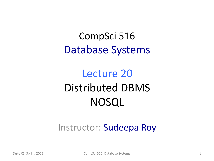### CompSci 516 Database Systems

### Lecture 20 Distributed DBMS NOSQL

#### Instructor: Sudeepa Roy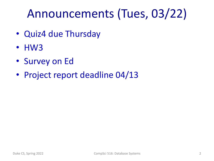## Announcements (Tues, 03/22)

- Quiz4 due Thursday
- HW3
- Survey on Ed
- Project report deadline 04/13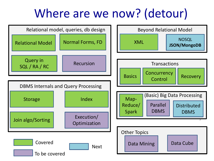### Where are we now? (detour)

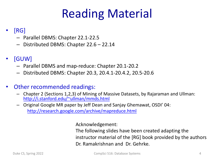# Reading Material

#### • [RG]

- P[arallel DBMS: Chapter 22.1-22.5](http://research.google.com/archive/mapreduce.html)
- Distributed DBMS: Chapter 22.6 22.14

#### • [GUW]

- Parallel DBMS and map-reduce: Chapter 20.1-20.2
- Distributed DBMS: Chapter 20.3, 20.4.1-20.4.2, 20.5-20.6

#### Other recommended readings:

- Chapter 2 (Sections 1,2,3) of Mining of Massive Datasets, by Rajaraman and U http://i.stanford.edu/~ullman/mmds.html
- Original Google MR paper by Jeff Dean and Sanjay Ghemawat, OSDI' 04: http://research.google.com/archive/mapreduce.html

Acknowledgement:

The following slides have been created adapting instructor material of the  $[RG]$  book provided by Dr. Ramakrishnan and Dr. Gehrke.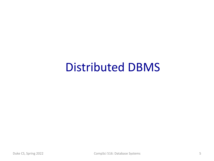### Distributed DBMS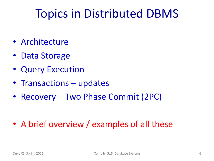### Topics in Distributed DBMS

- Architecture
- Data Storage
- Query Execution
- Transactions updates
- Recovery Two Phase Commit (2PC)

• A brief overview / examples of all these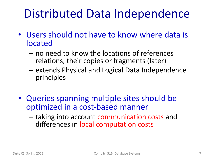### Distributed Data Independence

- Users should not have to know where data is located
	- no need to know the locations of references relations, their copies or fragments (later)
	- extends Physical and Logical Data Independence principles
- Queries spanning multiple sites should be optimized in a cost-based manner
	- taking into account communication costs and differences in local computation costs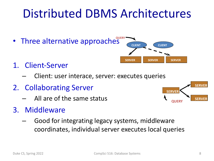### Distributed DBMS Architectures

- **Three alternative approaches**
- 1. Client-Server
	- Client: user interace, server: executes queries
- 2. Collaborating Server
	- All are of the same status
- 3. Middleware
	- Good for integrating legacy systems, middleware coordinates, individual server executes local queries



**CLIENT CLIENT**

**SERVER SERVER SERVER**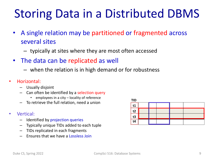## Storing Data in a Distributed DBMS

- A single relation may be partitioned or fragmented across several sites
	- typically at sites where they are most often accessed
- The data can be replicated as well
	- when the relation is in high demand or for robustness
- Horizontal:
	- Usually disjoint
	- Can often be identified by a selection query
		- employees in a city locality of reference
	- To retrieve the full relation, need a union
- Vertical:
	- Identified by projection queries
	- Typically unique TIDs added to each tuple
	- TIDs replicated in each fragments
	- Ensures that we have a Lossless Join

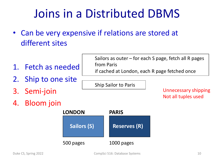## Joins in a Distributed DBMS

- Can be very expensive if relations are stored at different sites
- 1. Fetch as needed
- 2. Ship to one site
- 3. Semi-join
- 4. Bloom join



Sailors as outer – for each S page, fetch all R pages from Paris if cached at London, each R page fetched once

Ship Sailor to Paris

Unnecessary shipping Not all tuples used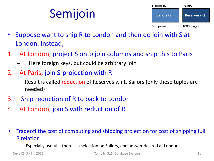# Semijoin



- Suppose want to ship R to London and then do join with S at London. Instead,
- 1. At London, project S onto join columns and ship this to Paris
	- Here foreign keys, but could be arbitrary join
- 2. At Paris, join S-projection with R
	- Result is called reduction of Reserves w.r.t. Sailors (only these tuples are needed)
- 3. Ship reduction of R to back to London
- 4. At London, join S with reduction of R
- Tradeoff the cost of computing and shipping projection for cost of shipping full R relation
	- Especially useful if there is a selection on Sailors, and answer desired at London

Duke CS, Spring 2022 CompSci 516: Database Systems 11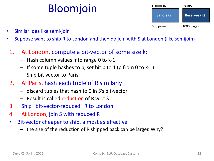### Bloomjoin

| <b>LONDON</b>      | <b>PARIS</b>        |  |
|--------------------|---------------------|--|
| <b>Sailors (S)</b> | <b>Reserves (R)</b> |  |
| 500 pages          | 1000 pages          |  |

- Similar idea like semi-join
- Suppose want to ship R to London and then do join with S at London (like semijoin)
- 1. At London, compute a bit-vector of some size k:
	- Hash column values into range 0 to k-1
	- $-$  If some tuple hashes to p, set bit p to 1 (p from 0 to k-1)
	- Ship bit-vector to Paris
- 2. At Paris, hash each tuple of R similarly
	- discard tuples that hash to 0 in S's bit-vector
	- Result is called reduction of R w.r.t S
- 3. Ship "bit-vector-reduced" R to London
- 4. At London, join S with reduced R
- Bit-vector cheaper to ship, almost as effective
	- the size of the reduction of R shipped back can be larger. Why?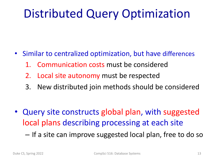### Distributed Query Optimization

- Similar to centralized optimization, but have differences
	- 1. Communication costs must be considered
	- 2. Local site autonomy must be respected
	- 3. New distributed join methods should be considered

- Query site constructs global plan, with suggested local plans describing processing at each site
	- If a site can improve suggested local plan, free to do so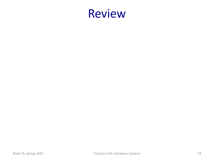### Review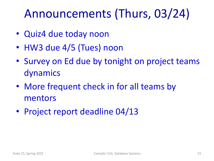## Announcements (Thurs, 03/24)

- Quiz4 due today noon
- HW3 due 4/5 (Tues) noon
- Survey on Ed due by tonight on project teams dynamics
- More frequent check in for all teams by mentors
- Project report deadline 04/13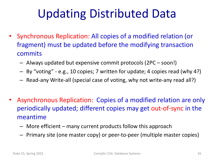## Updating Distributed Data

- Synchronous Replication: All copies of a modified relation (or fragment) must be updated before the modifying transaction commits
	- Always updated but expensive commit protocols (2PC soon!)
	- By "voting" e.g., 10 copies; 7 written for update; 4 copies read (why 4?)
	- Read-any Write-all (special case of voting, why not write-any read all?)
- Asynchronous Replication: Copies of a modified relation are only periodically updated; different copies may get out-of-sync in the meantime
	- More efficient many current products follow this approach
	- Primary site (one master copy) or peer-to-peer (multiple master copies)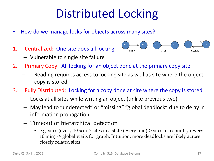## Distributed Locking

- How do we manage locks for objects across many sites?
- 1. Centralized: One site does all locking
	- Vulnerable to single site failure



- 2. Primary Copy: All locking for an object done at the primary copy site
	- Reading requires access to locking site as well as site where the object copy is stored
- 3. Fully Distributed: Locking for a copy done at site where the copy is stored
	- Locks at all sites while writing an object (unlike previous two)
	- May lead to "undetected" or "missing" "global deadlock" due to delay in information propagation
	- Timeout or hierarchical detection
		- e.g. sites (every 10 sec)-> sites in a state (every min)-> sites in a country (every 10 min) -> global waits for graph. Intuition: more deadlocks are likely across closely related sites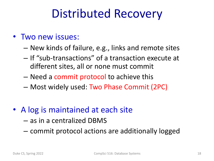### Distributed Recovery

#### • Two new issues:

- New kinds of failure, e.g., links and remote sites
- If "sub-transactions" of a transaction execute at different sites, all or none must commit
- Need a commit protocol to achieve this
- Most widely used: Two Phase Commit (2PC)
- A log is maintained at each site
	- as in a centralized DBMS
	- commit protocol actions are additionally logged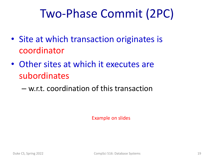### Two-Phase Commit (2PC)

- Site at which transaction originates is coordinator
- Other sites at which it executes are subordinates
	- w.r.t. coordination of this transaction

Example on slides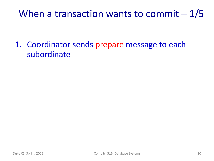### When a transaction wants to commit  $-1/5$

1. Coordinator sends prepare message to each subordinate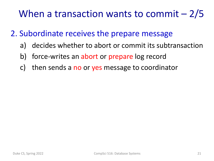### When a transaction wants to commit – 2/5

#### 2. Subordinate receives the prepare message

- a) decides whether to abort or commit its subtransaction
- b) force-writes an abort or prepare log record
- c) then sends a no or yes message to coordinator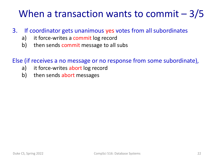### When a transaction wants to commit – 3/5

- 3. If coordinator gets unanimous yes votes from all subordinates
	- a) it force-writes a commit log record
	- b) then sends commit message to all subs

Else (if receives a no message or no response from some subordinate),

- a) it force-writes abort log record
- b) then sends abort messages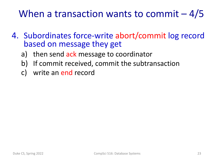### When a transaction wants to commit  $-4/5$

- 4. Subordinates force-write abort/commit log record based on message they get
	- a) then send ack message to coordinator
	- b) If commit received, commit the subtransaction
	- c) write an end record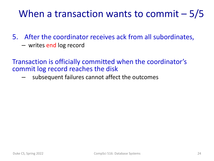### When a transaction wants to commit – 5/5

- 5. After the coordinator receives ack from all subordinates,
	- writes end log record

Transaction is officially committed when the coordinator's commit log record reaches the disk

– subsequent failures cannot affect the outcomes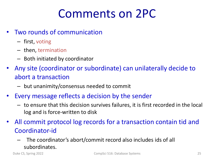### Comments on 2PC

- Two rounds of communication
	- first, voting
	- then, termination
	- Both initiated by coordinator
- Any site (coordinator or subordinate) can unilaterally decide to abort a transaction
	- but unanimity/consensus needed to commit
- Every message reflects a decision by the sender
	- to ensure that this decision survives failures, it is first recorded in the local log and is force-written to disk
- All commit protocol log records for a transaction contain tid and Coordinator-id
	- The coordinator's abort/commit record also includes ids of all subordinates.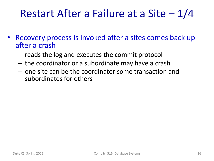### Restart After a Failure at a Site – 1/4

- Recovery process is invoked after a sites comes back up after a crash
	- reads the log and executes the commit protocol
	- the coordinator or a subordinate may have a crash
	- one site can be the coordinator some transaction and subordinates for others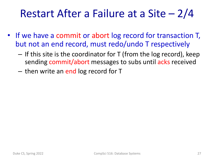### Restart After a Failure at a Site – 2/4

- If we have a commit or abort log record for transaction T, but not an end record, must redo/undo T respectively
	- $-$  If this site is the coordinator for T (from the log record), keep sending commit/abort messages to subs until acks received
	- then write an end log record for T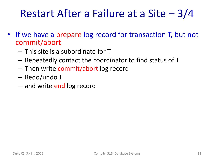### Restart After a Failure at a Site – 3/4

- If we have a prepare log record for transaction T, but not commit/abort
	- This site is a subordinate for T
	- Repeatedly contact the coordinator to find status of T
	- Then write commit/abort log record
	- Redo/undo T
	- and write end log record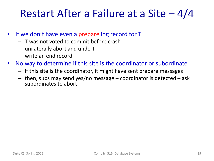### Restart After a Failure at a Site – 4/4

- If we don't have even a prepare log record for T
	- T was not voted to commit before crash
	- unilaterally abort and undo T
	- write an end record
- No way to determine if this site is the coordinator or subordinate
	- If this site is the coordinator, it might have sent prepare messages
	- $-$  then, subs may send yes/no message  $-$  coordinator is detected  $-$  ask subordinates to abort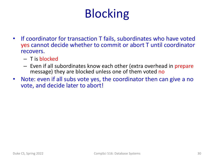# Blocking

- If coordinator for transaction T fails, subordinates who have voted yes cannot decide whether to commit or abort T until coordinator recovers.
	- T is blocked
	- Even if all subordinates know each other (extra overhead in prepare message) they are blocked unless one of them voted no
- Note: even if all subs vote yes, the coordinator then can give a no vote, and decide later to abort!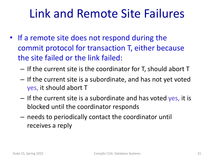### Link and Remote Site Failures

- If a remote site does not respond during the commit protocol for transaction T, either because the site failed or the link failed:
	- If the current site is the coordinator for T, should abort T
	- If the current site is a subordinate, and has not yet voted yes, it should abort T
	- If the current site is a subordinate and has voted yes, it is blocked until the coordinator responds
	- needs to periodically contact the coordinator until receives a reply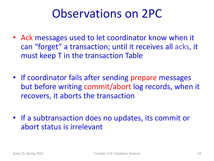### Observations on 2PC

- Ack messages used to let coordinator know when it can "forget" a transaction; until it receives all acks, it must keep T in the transaction Table
- If coordinator fails after sending prepare messages but before writing commit/abort log records, when it recovers, it aborts the transaction
- If a subtransaction does no updates, its commit or abort status is irrelevant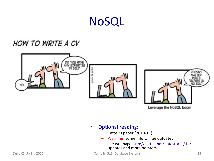### NoSQL

#### HOW TO WRITE A CV





Leverage the NoSQL

- Optional reading:
	- Cattell's paper (2010-11)
	- Warning! some info will be outdated
	- see webpage http://cattell.net/datastore updates and more pointers

Duke CS, Spring 2022 **CompSci 516: Database Systems**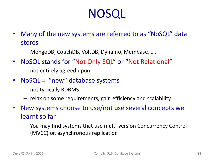### NOSQL

- Many of the new systems are referred to as "NoSQL" data stores
	- MongoDB, CouchDB, VoltDB, Dynamo, Membase, ….
- NoSQL stands for "Not Only SQL" or "Not Relational"
	- not entirely agreed upon
- NoSQL = "new" database systems
	- not typically RDBMS
	- relax on some requirements, gain efficiency and scalability
- New systems choose to use/not use several concepts we learnt so far
	- You may find systems that use multi-version Concurrency Control (MVCC) or, asynchronous replication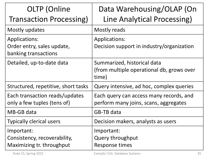| <b>OLTP</b> (Online<br><b>Transaction Processing)</b>                   | Data Warehousing/OLAP (On<br>Line Analytical Processing)                          |
|-------------------------------------------------------------------------|-----------------------------------------------------------------------------------|
| Mostly updates                                                          | Mostly reads                                                                      |
| Applications:<br>Order entry, sales update,<br>banking transactions     | <b>Applications:</b><br>Decision support in industry/organization                 |
| Detailed, up-to-date data                                               | Summarized, historical data<br>(from multiple operational db, grows over<br>time) |
| Structured, repetitive, short tasks                                     | Query intensive, ad hoc, complex queries                                          |
| Each transaction reads/updates<br>only a few tuples (tens of)           | Each query can access many records, and<br>perform many joins, scans, aggregates  |
| MB-GB data                                                              | GB-TB data                                                                        |
| <b>Typically clerical users</b>                                         | Decision makers, analysts as users                                                |
| Important:<br>Consistency, recoverability,<br>Maximizing tr. throughput | Important:<br>Query throughput<br>Response times                                  |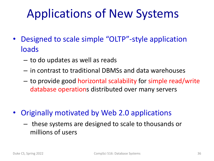## Applications of New Systems

- Designed to scale simple "OLTP"-style application loads
	- to do updates as well as reads
	- in contrast to traditional DBMSs and data warehouses
	- to provide good horizontal scalability for simple read/write database operations distributed over many servers
- Originally motivated by Web 2.0 applications
	- these systems are designed to scale to thousands or millions of users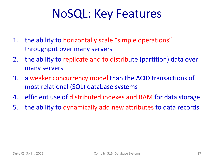### NoSQL: Key Features

- 1. the ability to horizontally scale "simple operations" throughput over many servers
- 2. the ability to replicate and to distribute (partition) data over many servers
- 3. a weaker concurrency model than the ACID transactions of most relational (SQL) database systems
- 4. efficient use of distributed indexes and RAM for data storage
- 5. the ability to dynamically add new attributes to data records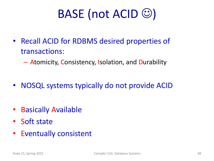# BASE (not ACID  $\circledcirc$ )

- Recall ACID for RDBMS desired properties of transactions:
	- Atomicity, Consistency, Isolation, and Durability
- NOSQL systems typically do not provide ACID
- Basically Available
- Soft state
- Eventually consistent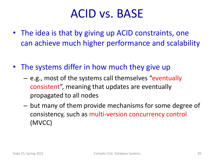### ACID vs. BASE

- The idea is that by giving up ACID constraints, one can achieve much higher performance and scalability
- The systems differ in how much they give up
	- e.g., most of the systems call themselves "eventually consistent", meaning that updates are eventually propagated to all nodes
	- but many of them provide mechanisms for some degree of consistency, such as multi-version concurrency control (MVCC)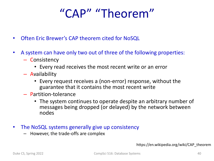### "CAP" "Theorem"

- Often Eric Brewer's CAP theorem cited for NoSQL
- A system can have only two out of three of the following properties:
	- Consistency
		- Every read receives the most recent write or an error
	- Availability
		- Every request receives a (non-error) response, without the guarantee that it contains the most recent write
	- Partition-tolerance
		- The system continues to operate despite an arbitrary number of messages being dropped (or delayed) by the network between nodes
- The NoSQL systems generally give up consistency
	- However, the trade-offs are complex

https://en.wikipedia.org/wiki/CAP\_theorem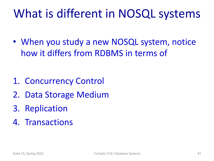### What is different in NOSQL systems

• When you study a new NOSQL system, notice how it differs from RDBMS in terms of

- 1. Concurrency Control
- 2. Data Storage Medium
- 3. Replication
- 4. Transactions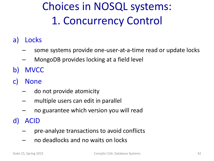## Choices in NOSQL systems: 1. Concurrency Control

- a) Locks
	- some systems provide one-user-at-a-time read or update locks
	- MongoDB provides locking at a field level
- b) MVCC
- c) None
	- do not provide atomicity
	- multiple users can edit in parallel
	- no guarantee which version you will read
- d) ACID
	- pre-analyze transactions to avoid conflicts
	- no deadlocks and no waits on locks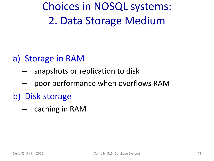Choices in NOSQL systems: 2. Data Storage Medium

#### a) Storage in RAM

- snapshots or replication to disk
- poor performance when overflows RAM
- b) Disk storage
	- caching in RAM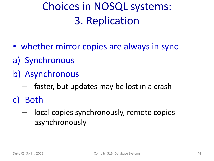### Choices in NOSQL systems: 3. Replication

- whether mirror copies are always in sync
- a) Synchronous
- b) Asynchronous
	- faster, but updates may be lost in a crash
- c) Both
	- local copies synchronously, remote copies asynchronously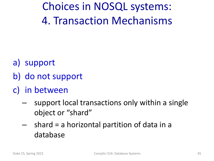Choices in NOSQL systems: 4. Transaction Mechanisms

- a) support
- b) do not support
- c) in between
	- support local transactions only within a single object or "shard"
	- shard = a horizontal partition of data in a database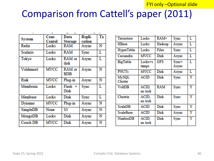#### FYI only –Optional slide

#### Comparison from Cattell's paper (2011)

| <b>System</b>   | Conc        | Data                 | Repli- | Tx |
|-----------------|-------------|----------------------|--------|----|
|                 | Contol      | Storage              | cation |    |
| Redis           | Locks       | RAM                  | Async  | N  |
| <b>Scalaris</b> | Locks       | RAM                  | Sync   | L  |
| Tokyo           | Locks       | RAM or<br>disk       | Async  | L  |
| Voldemort       | <b>MVCC</b> | RAM or<br><b>BDB</b> | Async  | N  |
| Riak            | <b>MVCC</b> | Plug-in              | Async  | N  |
| Membrain        | Locks       | $Flash +$<br>Disk    | Sync   | L  |
| Membase         | Locks       | Disk                 | Sync   | L  |
| Dynamo          | <b>MVCC</b> | Plug-in              | Async  | N  |
| SimpleDB        | None        | S3                   | Async  | N  |
| MongoDB         | Locks       | Disk                 | Async  | N  |
| <b>Couch DB</b> | MVCC        | Disk                 | Async  | N  |
|                 |             |                      |        |    |

| Terrastore                     | Locks            | $RAM+$ | Sync           | Ľ                     |
|--------------------------------|------------------|--------|----------------|-----------------------|
| <b>HBase</b>                   | Locks            | Hadoop | Async          | L                     |
| <b>HyperTable</b>              | Locks            | Files  | Sync           | L                     |
| Cassandra                      | MVCC             | Disk   | Async          | L                     |
| <b>BigTable</b>                | Locks+s<br>tamps | GFS    | Sync+<br>Async | Ľ                     |
| <b>PNUTs</b>                   | MVCC             | Disk   | Async          | L                     |
| <b>MySQL</b><br><b>Cluster</b> | <b>ACID</b>      | Disk   | Sync           | $\overline{\text{Y}}$ |
| <b>VoltDB</b>                  | ACID,<br>no lock | RAM    | Sync           | Ÿ                     |
| Clustrix                       | ACID,<br>no lock | Disk   | Sync           | Ÿ                     |
| <b>ScaleDB</b>                 | ACID             | Disk   | Sync           | Y                     |
| <b>ScaleBase</b>               | <b>ACID</b>      | Disk   | Async          | Υ                     |
| <b>NimbusDB</b>                | ACID,<br>no lock | Disk   | Sync           | Ÿ                     |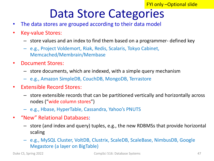### Data Store Categories

- The data stores are grouped according to their data model
- Key-value Stores:
	- store values and an index to find them based on a programmer- defined key
	- e.g., Project Voldemort, Riak, Redis, Scalaris, Tokyo Cabinet, Memcached/Membrain/Membase
- Document Stores:
	- store documents, which are indexed, with a simple query mechanism
	- e.g., Amazon SimpleDB, CouchDB, MongoDB, Terrastore
- Extensible Record Stores:
	- store extensible records that can be partitioned vertically and horizontally across nodes ("wide column stores")
	- e.g., Hbase, HyperTable, Cassandra, Yahoo's PNUTS
- "New" Relational Databases:
	- store (and index and query) tuples, e.g., the new RDBMSs that provide horizontal scaling
	- e.g., MySQL Cluster, VoltDB, Clustrix, ScaleDB, ScaleBase, NimbusDB, Google Megastore (a layer on BigTable)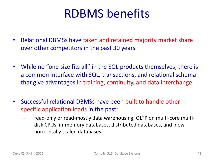### RDBMS benefits

- Relational DBMSs have taken and retained majority market share over other competitors in the past 30 years
- While no "one size fits all" in the SQL products themselves, there is a common interface with SQL, transactions, and relational schema that give advantages in training, continuity, and data interchange
- Successful relational DBMSs have been built to handle other specific application loads in the past:
	- read-only or read-mostly data warehousing, OLTP on multi-core multidisk CPUs, in-memory databases, distributed databases, and now horizontally scaled databases